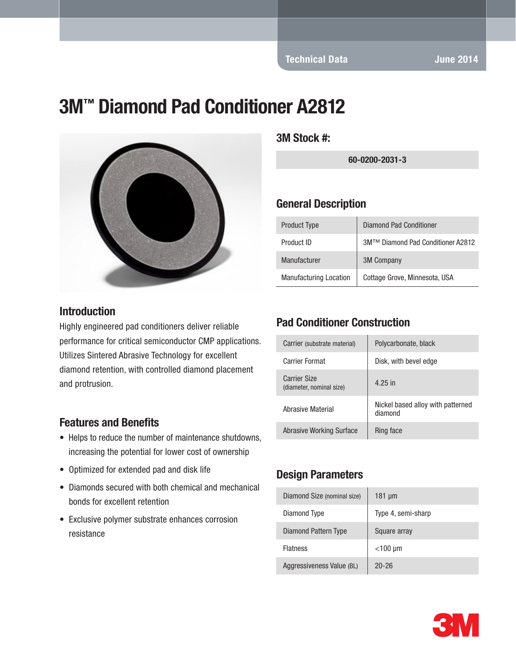# 3M™ Diamond Pad Conditioner A2812



#### Introduction

Highly engineered pad conditioners deliver reliable performance for critical semiconductor CMP applications. Utilizes Sintered Abrasive Technology for excellent diamond retention, with controlled diamond placement and protrusion.

#### Features and Benefits

- Helps to reduce the number of maintenance shutdowns, increasing the potential for lower cost of ownership
- Optimized for extended pad and disk life
- Diamonds secured with both chemical and mechanical bonds for excellent retention
- Exclusive polymer substrate enhances corrosion resistance

3M Stock #:

60-0200-2031-3

#### General Description

| <b>Product Type</b>           | <b>Diamond Pad Conditioner</b>    |
|-------------------------------|-----------------------------------|
| Product ID                    | 3M™ Diamond Pad Conditioner A2812 |
| Manufacturer                  | <b>3M Company</b>                 |
| <b>Manufacturing Location</b> | Cottage Grove, Minnesota, USA     |

#### Pad Conditioner Construction

| Carrier (substrate material)                    | Polycarbonate, black                         |
|-------------------------------------------------|----------------------------------------------|
| Carrier Format                                  | Disk, with bevel edge                        |
| <b>Carrier Size</b><br>(diameter, nominal size) | 4.25 in                                      |
| Abrasive Material                               | Nickel based alloy with patterned<br>diamond |
| <b>Abrasive Working Surface</b>                 | Ring face                                    |

### Design Parameters

| Diamond Size (nominal size) | $181 \mu m$        |
|-----------------------------|--------------------|
| Diamond Type                | Type 4, semi-sharp |
| Diamond Pattern Type        | Square array       |
| <b>Flatness</b>             | $<$ 100 µm         |
| Aggressiveness Value (BL)   | $20 - 26$          |